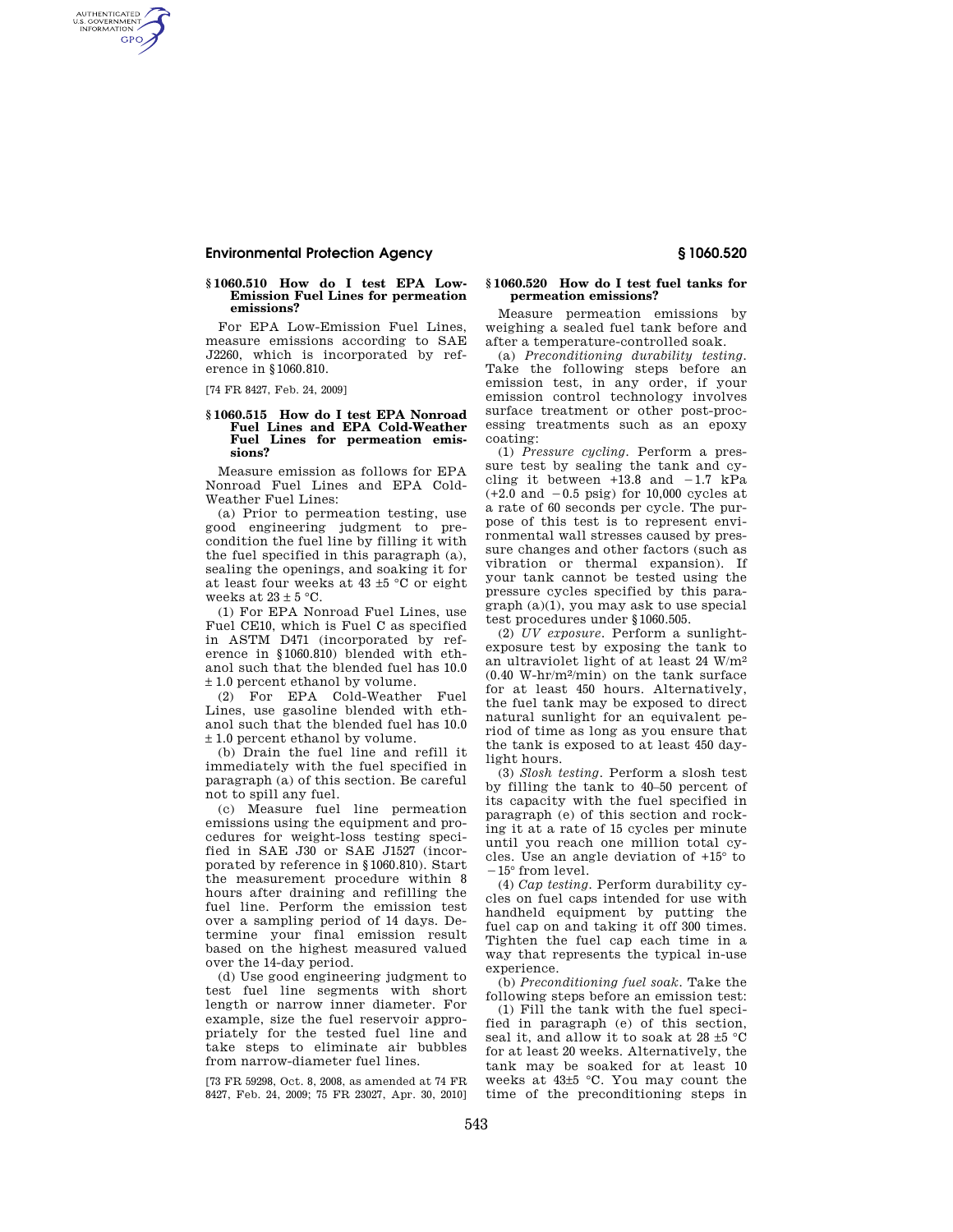# **Environmental Protection Agency § 1060.520**

#### **§ 1060.510 How do I test EPA Low-Emission Fuel Lines for permeation emissions?**

For EPA Low-Emission Fuel Lines, measure emissions according to SAE J2260, which is incorporated by reference in §1060.810.

[74 FR 8427, Feb. 24, 2009]

AUTHENTICATED<br>U.S. GOVERNMENT<br>INFORMATION **GPO** 

### **§ 1060.515 How do I test EPA Nonroad Fuel Lines and EPA Cold-Weather Fuel Lines for permeation emissions?**

Measure emission as follows for EPA Nonroad Fuel Lines and EPA Cold-Weather Fuel Lines:

(a) Prior to permeation testing, use good engineering judgment to precondition the fuel line by filling it with the fuel specified in this paragraph (a), sealing the openings, and soaking it for at least four weeks at 43 ±5 °C or eight weeks at  $23 + 5$  °C.

(1) For EPA Nonroad Fuel Lines, use Fuel CE10, which is Fuel C as specified in ASTM D471 (incorporated by reference in §1060.810) blended with ethanol such that the blended fuel has 10.0 ± 1.0 percent ethanol by volume.

(2) For EPA Cold-Weather Fuel Lines, use gasoline blended with ethanol such that the blended fuel has 10.0 ± 1.0 percent ethanol by volume.

(b) Drain the fuel line and refill it immediately with the fuel specified in paragraph (a) of this section. Be careful not to spill any fuel.

(c) Measure fuel line permeation emissions using the equipment and procedures for weight-loss testing specified in SAE J30 or SAE J1527 (incorporated by reference in §1060.810). Start the measurement procedure within 8 hours after draining and refilling the fuel line. Perform the emission test over a sampling period of 14 days. Determine your final emission result based on the highest measured valued over the 14-day period.

(d) Use good engineering judgment to test fuel line segments with short length or narrow inner diameter. For example, size the fuel reservoir appropriately for the tested fuel line and take steps to eliminate air bubbles from narrow-diameter fuel lines.

[73 FR 59298, Oct. 8, 2008, as amended at 74 FR 8427, Feb. 24, 2009; 75 FR 23027, Apr. 30, 2010]

### **§ 1060.520 How do I test fuel tanks for permeation emissions?**

Measure permeation emissions by weighing a sealed fuel tank before and after a temperature-controlled soak.

(a) *Preconditioning durability testing.*  Take the following steps before an emission test, in any order, if your emission control technology involves surface treatment or other post-processing treatments such as an epoxy coating:

(1) *Pressure cycling.* Perform a pressure test by sealing the tank and cycling it between  $+13.8$  and  $-1.7$  kPa  $(+2.0$  and  $-0.5$  psig) for 10,000 cycles at a rate of 60 seconds per cycle. The purpose of this test is to represent environmental wall stresses caused by pressure changes and other factors (such as vibration or thermal expansion). If your tank cannot be tested using the pressure cycles specified by this paragraph (a)(1), you may ask to use special test procedures under §1060.505.

(2) *UV exposure.* Perform a sunlightexposure test by exposing the tank to an ultraviolet light of at least 24 W/m2 (0.40 W-hr/m2/min) on the tank surface for at least 450 hours. Alternatively, the fuel tank may be exposed to direct natural sunlight for an equivalent period of time as long as you ensure that the tank is exposed to at least 450 daylight hours.

(3) *Slosh testing.* Perform a slosh test by filling the tank to 40–50 percent of its capacity with the fuel specified in paragraph (e) of this section and rocking it at a rate of 15 cycles per minute until you reach one million total cycles. Use an angle deviation of +15° to  $-15^{\circ}$  from level.

(4) *Cap testing.* Perform durability cycles on fuel caps intended for use with handheld equipment by putting the fuel cap on and taking it off 300 times. Tighten the fuel cap each time in a way that represents the typical in-use experience.

(b) *Preconditioning fuel soak.* Take the following steps before an emission test:

(1) Fill the tank with the fuel specified in paragraph (e) of this section, seal it, and allow it to soak at 28 ±5 °C for at least 20 weeks. Alternatively, the tank may be soaked for at least 10 weeks at 43±5 °C. You may count the time of the preconditioning steps in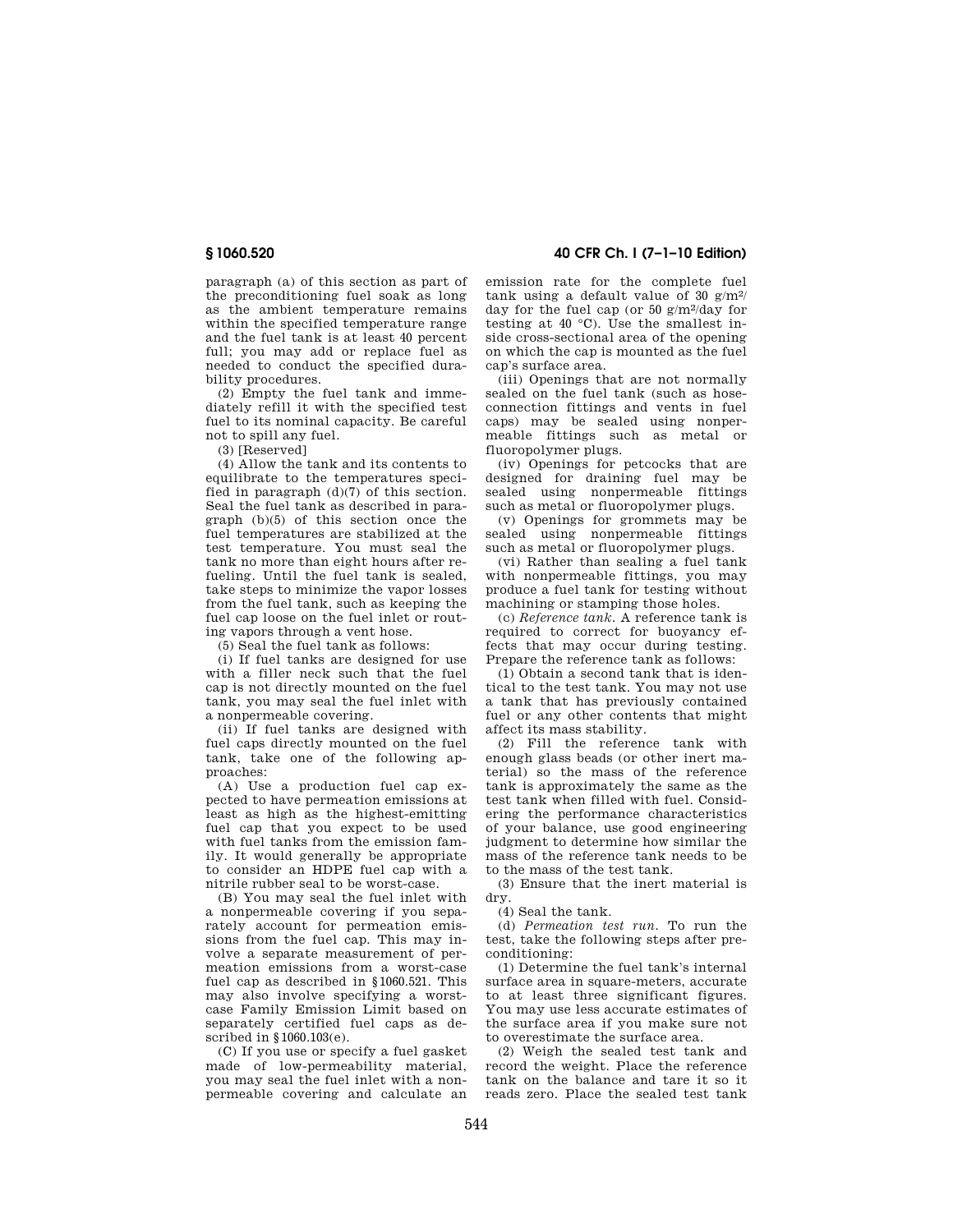paragraph (a) of this section as part of the preconditioning fuel soak as long as the ambient temperature remains within the specified temperature range and the fuel tank is at least 40 percent full; you may add or replace fuel as needed to conduct the specified durability procedures.

(2) Empty the fuel tank and immediately refill it with the specified test fuel to its nominal capacity. Be careful not to spill any fuel.

(3) [Reserved]

(4) Allow the tank and its contents to equilibrate to the temperatures specified in paragraph (d)(7) of this section. Seal the fuel tank as described in paragraph (b)(5) of this section once the fuel temperatures are stabilized at the test temperature. You must seal the tank no more than eight hours after refueling. Until the fuel tank is sealed, take steps to minimize the vapor losses from the fuel tank, such as keeping the fuel cap loose on the fuel inlet or routing vapors through a vent hose.

(5) Seal the fuel tank as follows:

(i) If fuel tanks are designed for use with a filler neck such that the fuel cap is not directly mounted on the fuel tank, you may seal the fuel inlet with a nonpermeable covering.

(ii) If fuel tanks are designed with fuel caps directly mounted on the fuel tank, take one of the following approaches:

(A) Use a production fuel cap expected to have permeation emissions at least as high as the highest-emitting fuel cap that you expect to be used with fuel tanks from the emission family. It would generally be appropriate to consider an HDPE fuel cap with a nitrile rubber seal to be worst-case.

(B) You may seal the fuel inlet with a nonpermeable covering if you separately account for permeation emissions from the fuel cap. This may involve a separate measurement of permeation emissions from a worst-case fuel cap as described in §1060.521. This may also involve specifying a worstcase Family Emission Limit based on separately certified fuel caps as described in §1060.103(e).

(C) If you use or specify a fuel gasket made of low-permeability material, you may seal the fuel inlet with a nonpermeable covering and calculate an

**§ 1060.520 40 CFR Ch. I (7–1–10 Edition)** 

emission rate for the complete fuel tank using a default value of 30  $g/m^2$ day for the fuel cap (or 50  $g/m^2$ /day for testing at 40 °C). Use the smallest inside cross-sectional area of the opening on which the cap is mounted as the fuel cap's surface area.

(iii) Openings that are not normally sealed on the fuel tank (such as hoseconnection fittings and vents in fuel caps) may be sealed using nonpermeable fittings such as metal or fluoropolymer plugs.

(iv) Openings for petcocks that are designed for draining fuel may be sealed using nonpermeable fittings such as metal or fluoropolymer plugs.

(v) Openings for grommets may be sealed using nonpermeable fittings such as metal or fluoropolymer plugs.

(vi) Rather than sealing a fuel tank with nonpermeable fittings, you may produce a fuel tank for testing without machining or stamping those holes.

(c) *Reference tank.* A reference tank is required to correct for buoyancy effects that may occur during testing. Prepare the reference tank as follows:

(1) Obtain a second tank that is identical to the test tank. You may not use a tank that has previously contained fuel or any other contents that might affect its mass stability.

(2) Fill the reference tank with enough glass beads (or other inert material) so the mass of the reference tank is approximately the same as the test tank when filled with fuel. Considering the performance characteristics of your balance, use good engineering judgment to determine how similar the mass of the reference tank needs to be to the mass of the test tank.

(3) Ensure that the inert material is dry.

(4) Seal the tank.

(d) *Permeation test run.* To run the test, take the following steps after preconditioning:

(1) Determine the fuel tank's internal surface area in square-meters, accurate to at least three significant figures. You may use less accurate estimates of the surface area if you make sure not to overestimate the surface area.

(2) Weigh the sealed test tank and record the weight. Place the reference tank on the balance and tare it so it reads zero. Place the sealed test tank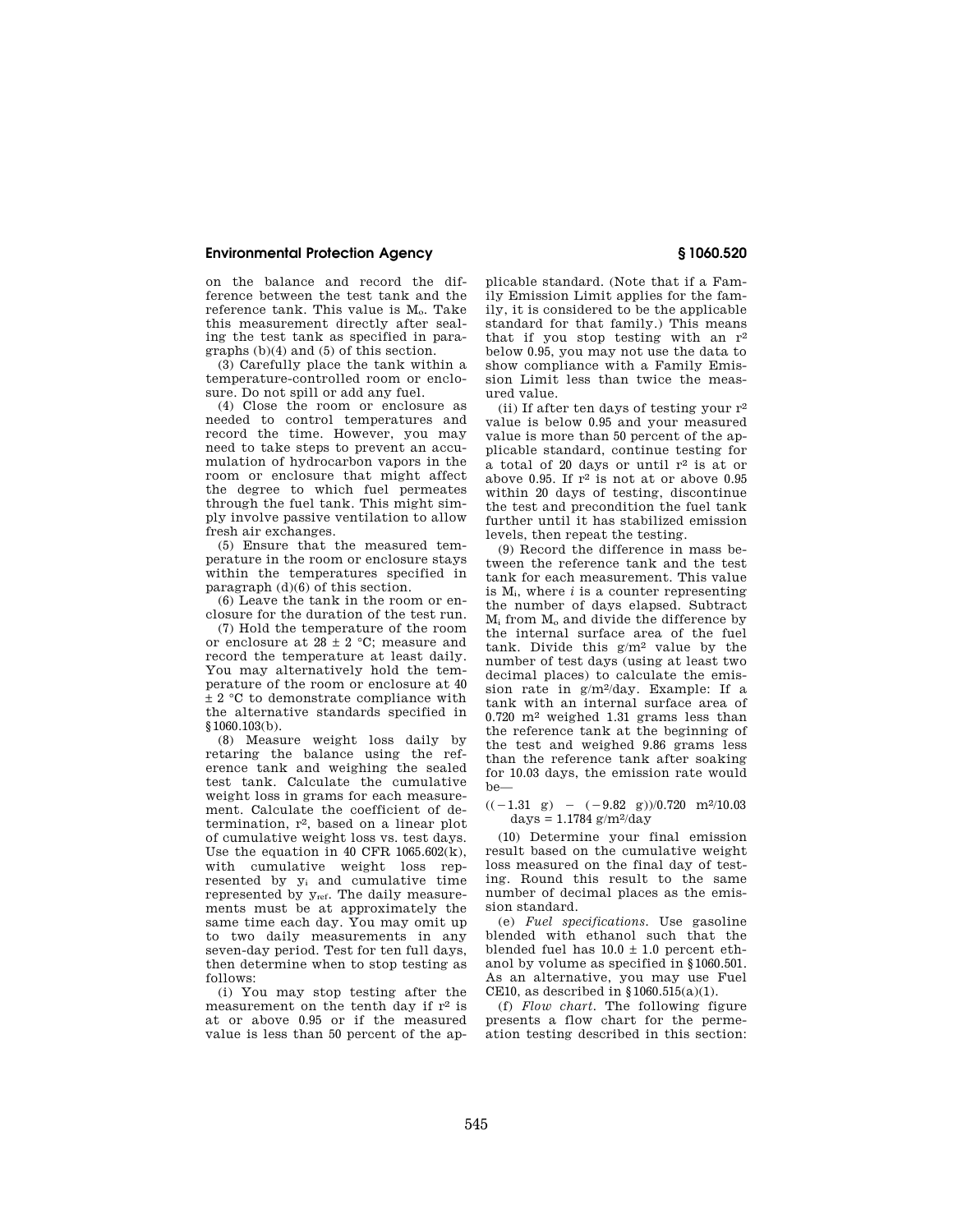## **Environmental Protection Agency § 1060.520**

on the balance and record the difference between the test tank and the reference tank. This value is M<sub>o</sub>. Take this measurement directly after sealing the test tank as specified in paragraphs (b)(4) and (5) of this section.

(3) Carefully place the tank within a temperature-controlled room or enclosure. Do not spill or add any fuel.

(4) Close the room or enclosure as needed to control temperatures and record the time. However, you may need to take steps to prevent an accumulation of hydrocarbon vapors in the room or enclosure that might affect the degree to which fuel permeates through the fuel tank. This might simply involve passive ventilation to allow fresh air exchanges.

(5) Ensure that the measured temperature in the room or enclosure stays within the temperatures specified in paragraph (d)(6) of this section.

(6) Leave the tank in the room or enclosure for the duration of the test run.

(7) Hold the temperature of the room or enclosure at 28  $\pm$  2 °C; measure and record the temperature at least daily. You may alternatively hold the temperature of the room or enclosure at 40  $\pm$  2 °C to demonstrate compliance with the alternative standards specified in §1060.103(b).

(8) Measure weight loss daily by retaring the balance using the reference tank and weighing the sealed test tank. Calculate the cumulative weight loss in grams for each measurement. Calculate the coefficient of determination,  $r^2$ , based on a linear plot of cumulative weight loss vs. test days. Use the equation in 40 CFR 1065.602(k), with cumulative weight loss represented by y<sup>i</sup> and cumulative time represented by yref. The daily measurements must be at approximately the same time each day. You may omit up to two daily measurements in any seven-day period. Test for ten full days, then determine when to stop testing as follows:

(i) You may stop testing after the measurement on the tenth day if  $r^2$  is at or above 0.95 or if the measured value is less than 50 percent of the ap-

plicable standard. (Note that if a Family Emission Limit applies for the family, it is considered to be the applicable standard for that family.) This means that if you stop testing with an r2 below 0.95, you may not use the data to show compliance with a Family Emission Limit less than twice the measured value.

(ii) If after ten days of testing your r2 value is below 0.95 and your measured value is more than 50 percent of the applicable standard, continue testing for a total of 20 days or until  $r^2$  is at or above 0.95. If  $r^2$  is not at or above 0.95 within 20 days of testing, discontinue the test and precondition the fuel tank further until it has stabilized emission levels, then repeat the testing.

(9) Record the difference in mass between the reference tank and the test tank for each measurement. This value is Mi, where *i* is a counter representing the number of days elapsed. Subtract  $M_i$  from  $M_o$  and divide the difference by the internal surface area of the fuel tank. Divide this g/m2 value by the number of test days (using at least two decimal places) to calculate the emission rate in g/m2/day. Example: If a tank with an internal surface area of 0.720 m2 weighed 1.31 grams less than the reference tank at the beginning of the test and weighed 9.86 grams less than the reference tank after soaking for 10.03 days, the emission rate would be—

# $((-1.31 \text{ g}) - (-9.82 \text{ g}))/0.720 \text{ m}^2/10.03$  $\rm days = 1.1784~g/m^2/day$

(10) Determine your final emission result based on the cumulative weight loss measured on the final day of testing. Round this result to the same number of decimal places as the emission standard.

(e) *Fuel specifications.* Use gasoline blended with ethanol such that the blended fuel has  $10.0 \pm 1.0$  percent ethanol by volume as specified in §1060.501. As an alternative, you may use Fuel CE10, as described in  $$1060.515(a)(1)$ .

(f) *Flow chart.* The following figure presents a flow chart for the permeation testing described in this section: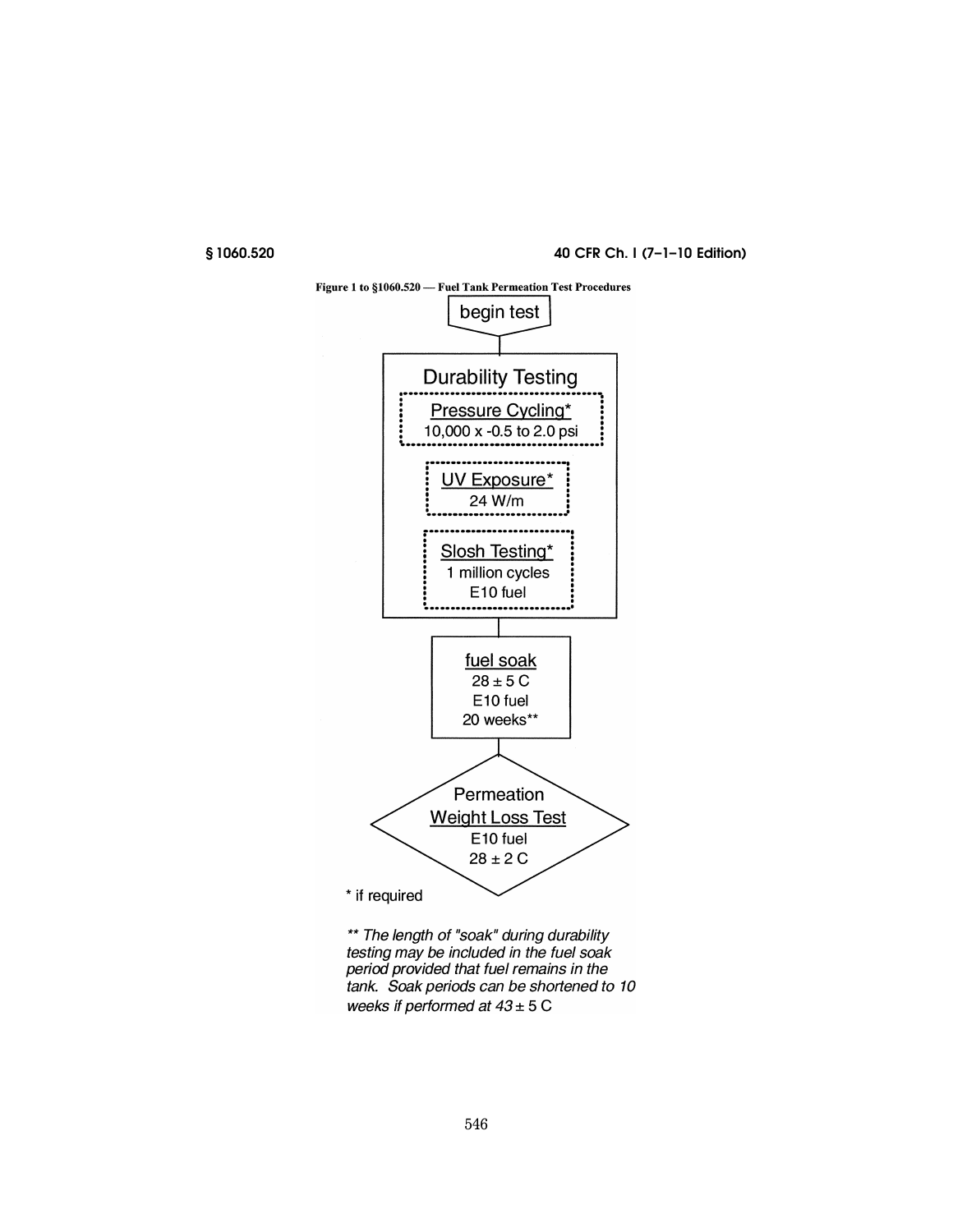§1060.520

40 CFR Ch. I (7-1-10 Edition)



\*\* The length of "soak" during durability testing may be included in the fuel soak period provided that fuel remains in the tank. Soak periods can be shortened to 10 weeks if performed at  $43 \pm 5$  C